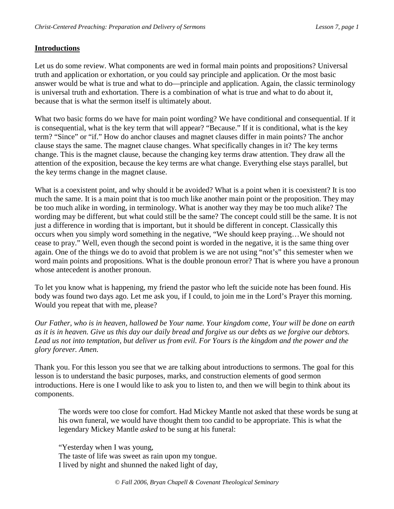# **Introductions**

Let us do some review. What components are wed in formal main points and propositions? Universal truth and application or exhortation, or you could say principle and application. Or the most basic answer would be what is true and what to do—principle and application. Again, the classic terminology is universal truth and exhortation. There is a combination of what is true and what to do about it, because that is what the sermon itself is ultimately about.

What two basic forms do we have for main point wording? We have conditional and consequential. If it is consequential, what is the key term that will appear? "Because." If it is conditional, what is the key term? "Since" or "if." How do anchor clauses and magnet clauses differ in main points? The anchor clause stays the same. The magnet clause changes. What specifically changes in it? The key terms change. This is the magnet clause, because the changing key terms draw attention. They draw all the attention of the exposition, because the key terms are what change. Everything else stays parallel, but the key terms change in the magnet clause.

What is a coexistent point, and why should it be avoided? What is a point when it is coexistent? It is too much the same. It is a main point that is too much like another main point or the proposition. They may be too much alike in wording, in terminology. What is another way they may be too much alike? The wording may be different, but what could still be the same? The concept could still be the same. It is not just a difference in wording that is important, but it should be different in concept. Classically this occurs when you simply word something in the negative, "We should keep praying…We should not cease to pray." Well, even though the second point is worded in the negative, it is the same thing over again. One of the things we do to avoid that problem is we are not using "not's" this semester when we word main points and propositions. What is the double pronoun error? That is where you have a pronoun whose antecedent is another pronoun.

To let you know what is happening, my friend the pastor who left the suicide note has been found. His body was found two days ago. Let me ask you, if I could, to join me in the Lord's Prayer this morning. Would you repeat that with me, please?

*Our Father, who is in heaven, hallowed be Your name. Your kingdom come, Your will be done on earth as it is in heaven. Give us this day our daily bread and forgive us our debts as we forgive our debtors. Lead us not into temptation, but deliver us from evil. For Yours is the kingdom and the power and the glory forever. Amen.* 

Thank you. For this lesson you see that we are talking about introductions to sermons. The goal for this lesson is to understand the basic purposes, marks, and construction elements of good sermon introductions. Here is one I would like to ask you to listen to, and then we will begin to think about its components.

The words were too close for comfort. Had Mickey Mantle not asked that these words be sung at his own funeral, we would have thought them too candid to be appropriate. This is what the legendary Mickey Mantle *asked* to be sung at his funeral:

"Yesterday when I was young, The taste of life was sweet as rain upon my tongue.

I lived by night and shunned the naked light of day,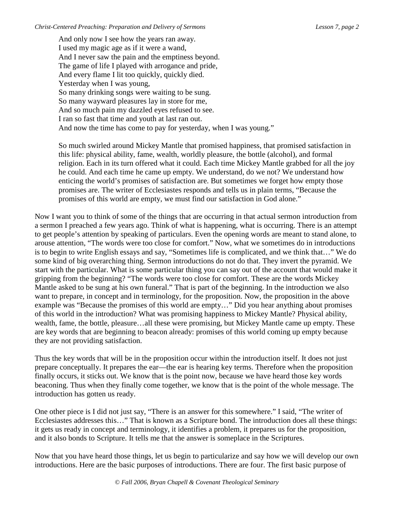And only now I see how the years ran away. I used my magic age as if it were a wand, And I never saw the pain and the emptiness beyond. The game of life I played with arrogance and pride, And every flame I lit too quickly, quickly died. Yesterday when I was young, So many drinking songs were waiting to be sung. So many wayward pleasures lay in store for me, And so much pain my dazzled eyes refused to see. I ran so fast that time and youth at last ran out. And now the time has come to pay for yesterday, when I was young."

So much swirled around Mickey Mantle that promised happiness, that promised satisfaction in this life: physical ability, fame, wealth, worldly pleasure, the bottle (alcohol), and formal religion. Each in its turn offered what it could. Each time Mickey Mantle grabbed for all the joy he could. And each time he came up empty. We understand, do we not? We understand how enticing the world's promises of satisfaction are. But sometimes we forget how empty those promises are. The writer of Ecclesiastes responds and tells us in plain terms, "Because the promises of this world are empty, we must find our satisfaction in God alone."

Now I want you to think of some of the things that are occurring in that actual sermon introduction from a sermon I preached a few years ago. Think of what is happening, what is occurring. There is an attempt to get people's attention by speaking of particulars. Even the opening words are meant to stand alone, to arouse attention, "The words were too close for comfort." Now, what we sometimes do in introductions is to begin to write English essays and say, "Sometimes life is complicated, and we think that…" We do some kind of big overarching thing. Sermon introductions do not do that. They invert the pyramid. We start with the particular. What is some particular thing you can say out of the account that would make it gripping from the beginning? "The words were too close for comfort. These are the words Mickey Mantle asked to be sung at his own funeral." That is part of the beginning. In the introduction we also want to prepare, in concept and in terminology, for the proposition. Now, the proposition in the above example was "Because the promises of this world are empty…" Did you hear anything about promises of this world in the introduction? What was promising happiness to Mickey Mantle? Physical ability, wealth, fame, the bottle, pleasure…all these were promising, but Mickey Mantle came up empty. These are key words that are beginning to beacon already: promises of this world coming up empty because they are not providing satisfaction.

Thus the key words that will be in the proposition occur within the introduction itself. It does not just prepare conceptually. It prepares the ear—the ear is hearing key terms. Therefore when the proposition finally occurs, it sticks out. We know that is the point now, because we have heard those key words beaconing. Thus when they finally come together, we know that is the point of the whole message. The introduction has gotten us ready.

One other piece is I did not just say, "There is an answer for this somewhere." I said, "The writer of Ecclesiastes addresses this…" That is known as a Scripture bond. The introduction does all these things: it gets us ready in concept and terminology, it identifies a problem, it prepares us for the proposition, and it also bonds to Scripture. It tells me that the answer is someplace in the Scriptures.

Now that you have heard those things, let us begin to particularize and say how we will develop our own introductions. Here are the basic purposes of introductions. There are four. The first basic purpose of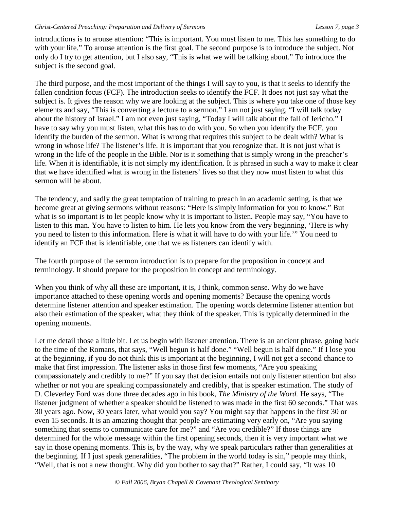introductions is to arouse attention: "This is important. You must listen to me. This has something to do with your life." To arouse attention is the first goal. The second purpose is to introduce the subject. Not only do I try to get attention, but I also say, "This is what we will be talking about." To introduce the subject is the second goal.

The third purpose, and the most important of the things I will say to you, is that it seeks to identify the fallen condition focus (FCF). The introduction seeks to identify the FCF. It does not just say what the subject is. It gives the reason why we are looking at the subject. This is where you take one of those key elements and say, "This is converting a lecture to a sermon." I am not just saying, "I will talk today about the history of Israel." I am not even just saying, "Today I will talk about the fall of Jericho." I have to say why you must listen, what this has to do with you. So when you identify the FCF, you identify the burden of the sermon. What is wrong that requires this subject to be dealt with? What is wrong in whose life? The listener's life. It is important that you recognize that. It is not just what is wrong in the life of the people in the Bible. Nor is it something that is simply wrong in the preacher's life. When it is identifiable, it is not simply my identification. It is phrased in such a way to make it clear that we have identified what is wrong in the listeners' lives so that they now must listen to what this sermon will be about.

The tendency, and sadly the great temptation of training to preach in an academic setting, is that we become great at giving sermons without reasons: "Here is simply information for you to know." But what is so important is to let people know why it is important to listen. People may say, "You have to listen to this man. You have to listen to him. He lets you know from the very beginning, 'Here is why you need to listen to this information. Here is what it will have to do with your life.'" You need to identify an FCF that is identifiable, one that we as listeners can identify with.

The fourth purpose of the sermon introduction is to prepare for the proposition in concept and terminology. It should prepare for the proposition in concept and terminology.

When you think of why all these are important, it is, I think, common sense. Why do we have importance attached to these opening words and opening moments? Because the opening words determine listener attention and speaker estimation. The opening words determine listener attention but also their estimation of the speaker, what they think of the speaker. This is typically determined in the opening moments.

Let me detail those a little bit. Let us begin with listener attention. There is an ancient phrase, going back to the time of the Romans, that says, "Well begun is half done." "Well begun is half done." If I lose you at the beginning, if you do not think this is important at the beginning, I will not get a second chance to make that first impression. The listener asks in those first few moments, "Are you speaking compassionately and credibly to me?" If you say that decision entails not only listener attention but also whether or not you are speaking compassionately and credibly, that is speaker estimation. The study of D. Cleverley Ford was done three decades ago in his book, *The Ministry of the Word.* He says, "The listener judgment of whether a speaker should be listened to was made in the first 60 seconds." That was 30 years ago. Now, 30 years later, what would you say? You might say that happens in the first 30 or even 15 seconds. It is an amazing thought that people are estimating very early on, "Are you saying something that seems to communicate care for me?" and "Are you credible?" If those things are determined for the whole message within the first opening seconds, then it is very important what we say in those opening moments. This is, by the way, why we speak particulars rather than generalities at the beginning. If I just speak generalities, "The problem in the world today is sin," people may think, "Well, that is not a new thought. Why did you bother to say that?" Rather, I could say, "It was 10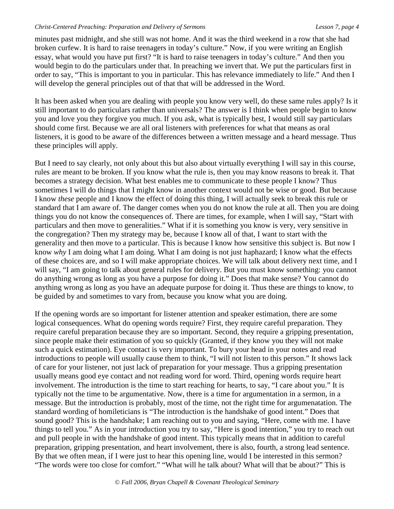minutes past midnight, and she still was not home. And it was the third weekend in a row that she had broken curfew. It is hard to raise teenagers in today's culture." Now, if you were writing an English essay, what would you have put first? "It is hard to raise teenagers in today's culture." And then you would begin to do the particulars under that. In preaching we invert that. We put the particulars first in order to say, "This is important to you in particular. This has relevance immediately to life." And then I will develop the general principles out of that that will be addressed in the Word.

It has been asked when you are dealing with people you know very well, do these same rules apply? Is it still important to do particulars rather than universals? The answer is I think when people begin to know you and love you they forgive you much. If you ask, what is typically best, I would still say particulars should come first. Because we are all oral listeners with preferences for what that means as oral listeners, it is good to be aware of the differences between a written message and a heard message. Thus these principles will apply.

But I need to say clearly, not only about this but also about virtually everything I will say in this course, rules are meant to be broken. If you know what the rule is, then you may know reasons to break it. That becomes a strategy decision. What best enables me to communicate to these people I know? Thus sometimes I will do things that I might know in another context would not be wise or good. But because I know *these* people and I know the effect of doing this thing, I will actually seek to break this rule or standard that I am aware of. The danger comes when you do not know the rule at all. Then you are doing things you do not know the consequences of. There are times, for example, when I will say, "Start with particulars and then move to generalities." What if it is something you know is very, very sensitive in the congregation? Then my strategy may be, because I know all of that, I want to start with the generality and then move to a particular. This is because I know how sensitive this subject is. But now I know *why* I am doing what I am doing. What I am doing is not just haphazard; I know what the effects of these choices are, and so I will make appropriate choices. We will talk about delivery next time, and I will say, "I am going to talk about general rules for delivery. But you must know something: you cannot do anything wrong as long as you have a purpose for doing it." Does that make sense? You cannot do anything wrong as long as you have an adequate purpose for doing it. Thus these are things to know, to be guided by and sometimes to vary from, because you know what you are doing.

If the opening words are so important for listener attention and speaker estimation, there are some logical consequences. What do opening words require? First, they require careful preparation. They require careful preparation because they are so important. Second, they require a gripping presentation, since people make their estimation of you so quickly (Granted, if they know you they will not make such a quick estimation). Eye contact is very important. To bury your head in your notes and read introductions to people will usually cause them to think, "I will not listen to this person." It shows lack of care for your listener, not just lack of preparation for your message. Thus a gripping presentation usually means good eye contact and not reading word for word. Third, opening words require heart involvement. The introduction is the time to start reaching for hearts, to say, "I care about you." It is typically not the time to be argumentative. Now, there is a time for argumentation in a sermon, in a message. But the introduction is probably, most of the time, not the right time for argumenatation. The standard wording of homileticians is "The introduction is the handshake of good intent." Does that sound good? This is the handshake; I am reaching out to you and saying, "Here, come with me. I have things to tell you." As in your introduction you try to say, "Here is good intention," you try to reach out and pull people in with the handshake of good intent. This typically means that in addition to careful preparation, gripping presentation, and heart involvement, there is also, fourth, a strong lead sentence. By that we often mean, if I were just to hear this opening line, would I be interested in this sermon? "The words were too close for comfort." "What will he talk about? What will that be about?" This is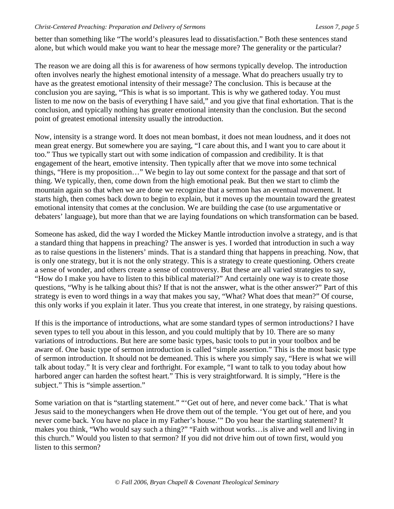better than something like "The world's pleasures lead to dissatisfaction." Both these sentences stand alone, but which would make you want to hear the message more? The generality or the particular?

The reason we are doing all this is for awareness of how sermons typically develop. The introduction often involves nearly the highest emotional intensity of a message. What do preachers usually try to have as the greatest emotional intensity of their message? The conclusion. This is because at the conclusion you are saying, "This is what is so important. This is why we gathered today. You must listen to me now on the basis of everything I have said," and you give that final exhortation. That is the conclusion, and typically nothing has greater emotional intensity than the conclusion. But the second point of greatest emotional intensity usually the introduction.

Now, intensity is a strange word. It does not mean bombast, it does not mean loudness, and it does not mean great energy. But somewhere you are saying, "I care about this, and I want you to care about it too." Thus we typically start out with some indication of compassion and credibility. It is that engagement of the heart, emotive intensity. Then typically after that we move into some technical things, "Here is my proposition…" We begin to lay out some context for the passage and that sort of thing. We typically, then, come down from the high emotional peak. But then we start to climb the mountain again so that when we are done we recognize that a sermon has an eventual movement. It starts high, then comes back down to begin to explain, but it moves up the mountain toward the greatest emotional intensity that comes at the conclusion. We are building the case (to use argumentative or debaters' language), but more than that we are laying foundations on which transformation can be based.

Someone has asked, did the way I worded the Mickey Mantle introduction involve a strategy, and is that a standard thing that happens in preaching? The answer is yes. I worded that introduction in such a way as to raise questions in the listeners' minds. That is a standard thing that happens in preaching. Now, that is only one strategy, but it is not the only strategy. This is a strategy to create questioning. Others create a sense of wonder, and others create a sense of controversy. But these are all varied strategies to say, "How do I make you have to listen to this biblical material?" And certainly one way is to create those questions, "Why is he talking about this? If that is not the answer, what is the other answer?" Part of this strategy is even to word things in a way that makes you say, "What? What does that mean?" Of course, this only works if you explain it later. Thus you create that interest, in one strategy, by raising questions.

If this is the importance of introductions, what are some standard types of sermon introductions? I have seven types to tell you about in this lesson, and you could multiply that by 10. There are so many variations of introductions. But here are some basic types, basic tools to put in your toolbox and be aware of. One basic type of sermon introduction is called "simple assertion." This is the most basic type of sermon introduction. It should not be demeaned. This is where you simply say, "Here is what we will talk about today." It is very clear and forthright. For example, "I want to talk to you today about how harbored anger can harden the softest heart." This is very straightforward. It is simply, "Here is the subject." This is "simple assertion."

Some variation on that is "startling statement." "'Get out of here, and never come back.' That is what Jesus said to the moneychangers when He drove them out of the temple. 'You get out of here, and you never come back. You have no place in my Father's house.'" Do you hear the startling statement? It makes you think, "Who would say such a thing?" "Faith without works…is alive and well and living in this church." Would you listen to that sermon? If you did not drive him out of town first, would you listen to this sermon?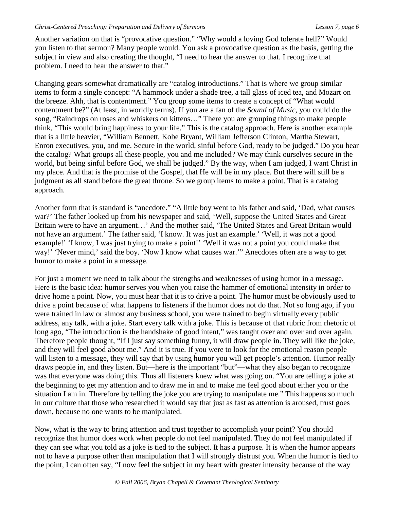Another variation on that is "provocative question." "Why would a loving God tolerate hell?" Would you listen to that sermon? Many people would. You ask a provocative question as the basis, getting the subject in view and also creating the thought, "I need to hear the answer to that. I recognize that problem. I need to hear the answer to that."

Changing gears somewhat dramatically are "catalog introductions." That is where we group similar items to form a single concept: "A hammock under a shade tree, a tall glass of iced tea, and Mozart on the breeze. Ahh, that is contentment." You group some items to create a concept of "What would contentment be?" (At least, in worldly terms). If you are a fan of the *Sound of Music*, you could do the song, "Raindrops on roses and whiskers on kittens…" There you are grouping things to make people think, "This would bring happiness to your life." This is the catalog approach. Here is another example that is a little heavier, "William Bennett, Kobe Bryant, William Jefferson Clinton, Martha Stewart, Enron executives, you, and me. Secure in the world, sinful before God, ready to be judged." Do you hear the catalog? What groups all these people, you and me included? We may think ourselves secure in the world, but being sinful before God, we shall be judged." By the way, when I am judged, I want Christ in my place. And that is the promise of the Gospel, that He will be in my place. But there will still be a judgment as all stand before the great throne. So we group items to make a point. That is a catalog approach.

Another form that is standard is "anecdote." "A little boy went to his father and said, 'Dad, what causes war?' The father looked up from his newspaper and said, 'Well, suppose the United States and Great Britain were to have an argument…' And the mother said, 'The United States and Great Britain would not have an argument.' The father said, 'I know. It was just an example.' 'Well, it was not a good example!' 'I know, I was just trying to make a point!' 'Well it was not a point you could make that way!' 'Never mind,' said the boy. 'Now I know what causes war.'" Anecdotes often are a way to get humor to make a point in a message.

For just a moment we need to talk about the strengths and weaknesses of using humor in a message. Here is the basic idea: humor serves you when you raise the hammer of emotional intensity in order to drive home a point. Now, you must hear that it is to drive a point. The humor must be obviously used to drive a point because of what happens to listeners if the humor does not do that. Not so long ago, if you were trained in law or almost any business school, you were trained to begin virtually every public address, any talk, with a joke. Start every talk with a joke. This is because of that rubric from rhetoric of long ago, "The introduction is the handshake of good intent," was taught over and over and over again. Therefore people thought, "If I just say something funny, it will draw people in. They will like the joke, and they will feel good about me." And it is true. If you were to look for the emotional reason people will listen to a message, they will say that by using humor you will get people's attention. Humor really draws people in, and they listen. But—here is the important "but"—what they also began to recognize was that everyone was doing this. Thus all listeners knew what was going on. "You are telling a joke at the beginning to get my attention and to draw me in and to make me feel good about either you or the situation I am in. Therefore by telling the joke you are trying to manipulate me." This happens so much in our culture that those who researched it would say that just as fast as attention is aroused, trust goes down, because no one wants to be manipulated.

Now, what is the way to bring attention and trust together to accomplish your point? You should recognize that humor does work when people do not feel manipulated. They do not feel manipulated if they can see what you told as a joke is tied to the subject. It has a purpose. It is when the humor appears not to have a purpose other than manipulation that I will strongly distrust you. When the humor is tied to the point, I can often say, "I now feel the subject in my heart with greater intensity because of the way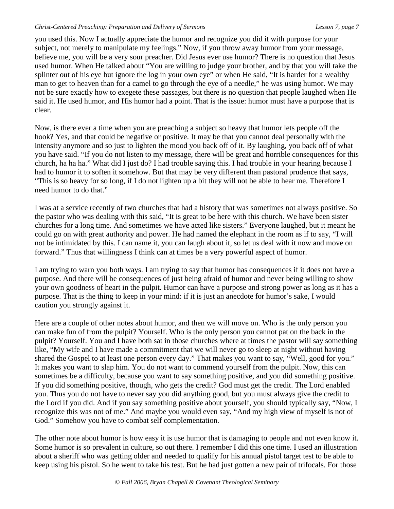you used this. Now I actually appreciate the humor and recognize you did it with purpose for your subject, not merely to manipulate my feelings." Now, if you throw away humor from your message, believe me, you will be a very sour preacher. Did Jesus ever use humor? There is no question that Jesus used humor. When He talked about "You are willing to judge your brother, and by that you will take the splinter out of his eye but ignore the log in your own eye" or when He said, "It is harder for a wealthy man to get to heaven than for a camel to go through the eye of a needle," he was using humor. We may not be sure exactly how to exegete these passages, but there is no question that people laughed when He said it. He used humor, and His humor had a point. That is the issue: humor must have a purpose that is clear.

Now, is there ever a time when you are preaching a subject so heavy that humor lets people off the hook? Yes, and that could be negative or positive. It may be that you cannot deal personally with the intensity anymore and so just to lighten the mood you back off of it. By laughing, you back off of what you have said. "If you do not listen to my message, there will be great and horrible consequences for this church, ha ha ha." What did I just do? I had trouble saying this. I had trouble in your hearing because I had to humor it to soften it somehow. But that may be very different than pastoral prudence that says, "This is so heavy for so long, if I do not lighten up a bit they will not be able to hear me. Therefore I need humor to do that."

I was at a service recently of two churches that had a history that was sometimes not always positive. So the pastor who was dealing with this said, "It is great to be here with this church. We have been sister churches for a long time. And sometimes we have acted like sisters." Everyone laughed, but it meant he could go on with great authority and power. He had named the elephant in the room as if to say, "I will not be intimidated by this. I can name it, you can laugh about it, so let us deal with it now and move on forward." Thus that willingness I think can at times be a very powerful aspect of humor.

I am trying to warn you both ways. I am trying to say that humor has consequences if it does not have a purpose. And there will be consequences of just being afraid of humor and never being willing to show your own goodness of heart in the pulpit. Humor can have a purpose and strong power as long as it has a purpose. That is the thing to keep in your mind: if it is just an anecdote for humor's sake, I would caution you strongly against it.

Here are a couple of other notes about humor, and then we will move on. Who is the only person you can make fun of from the pulpit? Yourself. Who is the only person you cannot pat on the back in the pulpit? Yourself. You and I have both sat in those churches where at times the pastor will say something like, "My wife and I have made a commitment that we will never go to sleep at night without having shared the Gospel to at least one person every day." That makes you want to say, "Well, good for you." It makes you want to slap him. You do not want to commend yourself from the pulpit. Now, this can sometimes be a difficulty, because you want to say something positive, and you did something positive. If you did something positive, though, who gets the credit? God must get the credit. The Lord enabled you. Thus you do not have to never say you did anything good, but you must always give the credit to the Lord if you did. And if you say something positive about yourself, you should typically say, "Now, I recognize this was not of me." And maybe you would even say, "And my high view of myself is not of God." Somehow you have to combat self complementation.

The other note about humor is how easy it is use humor that is damaging to people and not even know it. Some humor is so prevalent in culture, so out there. I remember I did this one time. I used an illustration about a sheriff who was getting older and needed to qualify for his annual pistol target test to be able to keep using his pistol. So he went to take his test. But he had just gotten a new pair of trifocals. For those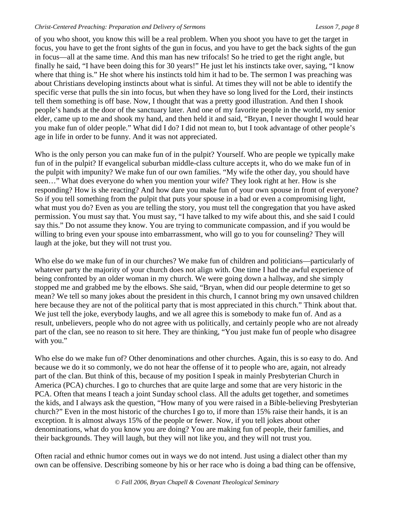of you who shoot, you know this will be a real problem. When you shoot you have to get the target in focus, you have to get the front sights of the gun in focus, and you have to get the back sights of the gun in focus—all at the same time. And this man has new trifocals! So he tried to get the right angle, but finally he said, "I have been doing this for 30 years!" He just let his instincts take over, saying, "I know where that thing is." He shot where his instincts told him it had to be. The sermon I was preaching was about Christians developing instincts about what is sinful. At times they will not be able to identify the specific verse that pulls the sin into focus, but when they have so long lived for the Lord, their instincts tell them something is off base. Now, I thought that was a pretty good illustration. And then I shook people's hands at the door of the sanctuary later. And one of my favorite people in the world, my senior elder, came up to me and shook my hand, and then held it and said, "Bryan, I never thought I would hear you make fun of older people." What did I do? I did not mean to, but I took advantage of other people's age in life in order to be funny. And it was not appreciated.

Who is the only person you can make fun of in the pulpit? Yourself. Who are people we typically make fun of in the pulpit? If evangelical suburban middle-class culture accepts it, who do we make fun of in the pulpit with impunity? We make fun of our own families. "My wife the other day, you should have seen…" What does everyone do when you mention your wife? They look right at her. How is she responding? How is she reacting? And how dare you make fun of your own spouse in front of everyone? So if you tell something from the pulpit that puts your spouse in a bad or even a compromising light, what must you do? Even as you are telling the story, you must tell the congregation that you have asked permission. You must say that. You must say, "I have talked to my wife about this, and she said I could say this." Do not assume they know. You are trying to communicate compassion, and if you would be willing to bring even your spouse into embarrassment, who will go to you for counseling? They will laugh at the joke, but they will not trust you.

Who else do we make fun of in our churches? We make fun of children and politicians—particularly of whatever party the majority of your church does not align with. One time I had the awful experience of being confronted by an older woman in my church. We were going down a hallway, and she simply stopped me and grabbed me by the elbows. She said, "Bryan, when did our people determine to get so mean? We tell so many jokes about the president in this church, I cannot bring my own unsaved children here because they are not of the political party that is most appreciated in this church." Think about that. We just tell the joke, everybody laughs, and we all agree this is somebody to make fun of. And as a result, unbelievers, people who do not agree with us politically, and certainly people who are not already part of the clan, see no reason to sit here. They are thinking, "You just make fun of people who disagree with you."

Who else do we make fun of? Other denominations and other churches. Again, this is so easy to do. And because we do it so commonly, we do not hear the offense of it to people who are, again, not already part of the clan. But think of this, because of my position I speak in mainly Presbyterian Church in America (PCA) churches. I go to churches that are quite large and some that are very historic in the PCA. Often that means I teach a joint Sunday school class. All the adults get together, and sometimes the kids, and I always ask the question, "How many of you were raised in a Bible-believing Presbyterian church?" Even in the most historic of the churches I go to, if more than 15% raise their hands, it is an exception. It is almost always 15% of the people or fewer. Now, if you tell jokes about other denominations, what do you know you are doing? You are making fun of people, their families, and their backgrounds. They will laugh, but they will not like you, and they will not trust you.

Often racial and ethnic humor comes out in ways we do not intend. Just using a dialect other than my own can be offensive. Describing someone by his or her race who is doing a bad thing can be offensive,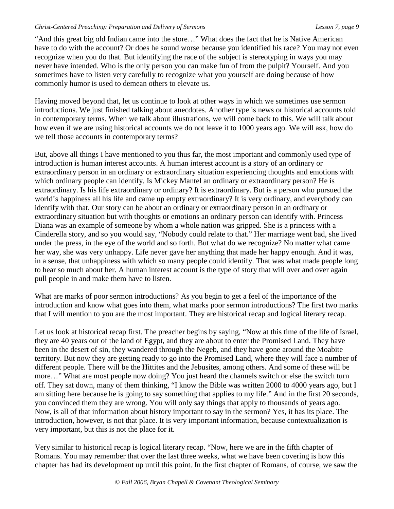"And this great big old Indian came into the store…" What does the fact that he is Native American have to do with the account? Or does he sound worse because you identified his race? You may not even recognize when you do that. But identifying the race of the subject is stereotyping in ways you may never have intended. Who is the only person you can make fun of from the pulpit? Yourself. And you sometimes have to listen very carefully to recognize what you yourself are doing because of how commonly humor is used to demean others to elevate us.

Having moved beyond that, let us continue to look at other ways in which we sometimes use sermon introductions. We just finished talking about anecdotes. Another type is news or historical accounts told in contemporary terms. When we talk about illustrations, we will come back to this. We will talk about how even if we are using historical accounts we do not leave it to 1000 years ago. We will ask, how do we tell those accounts in contemporary terms?

But, above all things I have mentioned to you thus far, the most important and commonly used type of introduction is human interest accounts. A human interest account is a story of an ordinary or extraordinary person in an ordinary or extraordinary situation experiencing thoughts and emotions with which ordinary people can identify. Is Mickey Mantel an ordinary or extraordinary person? He is extraordinary. Is his life extraordinary or ordinary? It is extraordinary. But is a person who pursued the world's happiness all his life and came up empty extraordinary? It is very ordinary, and everybody can identify with that. Our story can be about an ordinary or extraordinary person in an ordinary or extraordinary situation but with thoughts or emotions an ordinary person can identify with. Princess Diana was an example of someone by whom a whole nation was gripped. She is a princess with a Cinderella story, and so you would say, "Nobody could relate to that." Her marriage went bad, she lived under the press, in the eye of the world and so forth. But what do we recognize? No matter what came her way, she was very unhappy. Life never gave her anything that made her happy enough. And it was, in a sense, that unhappiness with which so many people could identify. That was what made people long to hear so much about her. A human interest account is the type of story that will over and over again pull people in and make them have to listen.

What are marks of poor sermon introductions? As you begin to get a feel of the importance of the introduction and know what goes into them, what marks poor sermon introductions? The first two marks that I will mention to you are the most important. They are historical recap and logical literary recap.

Let us look at historical recap first. The preacher begins by saying, "Now at this time of the life of Israel, they are 40 years out of the land of Egypt, and they are about to enter the Promised Land. They have been in the desert of sin, they wandered through the Negeb, and they have gone around the Moabite territory. But now they are getting ready to go into the Promised Land, where they will face a number of different people. There will be the Hittites and the Jebusites, among others. And some of these will be more…" What are most people now doing? You just heard the channels switch or else the switch turn off. They sat down, many of them thinking, "I know the Bible was written 2000 to 4000 years ago, but I am sitting here because he is going to say something that applies to my life." And in the first 20 seconds, you convinced them they are wrong. You will only say things that apply to thousands of years ago. Now, is all of that information about history important to say in the sermon? Yes, it has its place. The introduction, however, is not that place. It is very important information, because contextualization is very important, but this is not the place for it.

Very similar to historical recap is logical literary recap. "Now, here we are in the fifth chapter of Romans. You may remember that over the last three weeks, what we have been covering is how this chapter has had its development up until this point. In the first chapter of Romans, of course, we saw the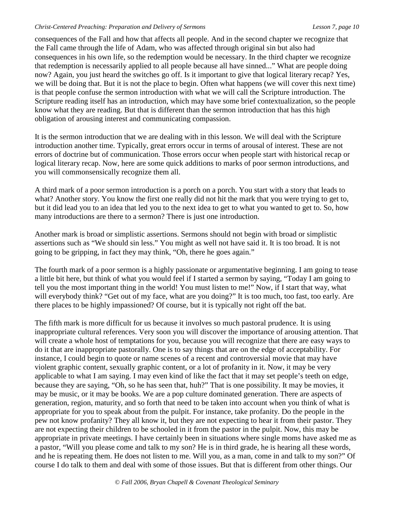consequences of the Fall and how that affects all people. And in the second chapter we recognize that the Fall came through the life of Adam, who was affected through original sin but also had consequences in his own life, so the redemption would be necessary. In the third chapter we recognize that redemption is necessarily applied to all people because all have sinned..." What are people doing now? Again, you just heard the switches go off. Is it important to give that logical literary recap? Yes, we will be doing that. But it is not the place to begin. Often what happens (we will cover this next time) is that people confuse the sermon introduction with what we will call the Scripture introduction. The Scripture reading itself has an introduction, which may have some brief contextualization, so the people know what they are reading. But that is different than the sermon introduction that has this high obligation of arousing interest and communicating compassion.

It is the sermon introduction that we are dealing with in this lesson. We will deal with the Scripture introduction another time. Typically, great errors occur in terms of arousal of interest. These are not errors of doctrine but of communication. Those errors occur when people start with historical recap or logical literary recap. Now, here are some quick additions to marks of poor sermon introductions, and you will commonsensically recognize them all.

A third mark of a poor sermon introduction is a porch on a porch. You start with a story that leads to what? Another story. You know the first one really did not hit the mark that you were trying to get to, but it did lead you to an idea that led you to the next idea to get to what you wanted to get to. So, how many introductions are there to a sermon? There is just one introduction.

Another mark is broad or simplistic assertions. Sermons should not begin with broad or simplistic assertions such as "We should sin less." You might as well not have said it. It is too broad. It is not going to be gripping, in fact they may think, "Oh, there he goes again."

The fourth mark of a poor sermon is a highly passionate or argumentative beginning. I am going to tease a little bit here, but think of what you would feel if I started a sermon by saying, "Today I am going to tell you the most important thing in the world! You must listen to me!" Now, if I start that way, what will everybody think? "Get out of my face, what are you doing?" It is too much, too fast, too early. Are there places to be highly impassioned? Of course, but it is typically not right off the bat.

The fifth mark is more difficult for us because it involves so much pastoral prudence. It is using inappropriate cultural references. Very soon you will discover the importance of arousing attention. That will create a whole host of temptations for you, because you will recognize that there are easy ways to do it that are inappropriate pastorally. One is to say things that are on the edge of acceptability. For instance, I could begin to quote or name scenes of a recent and controversial movie that may have violent graphic content, sexually graphic content, or a lot of profanity in it. Now, it may be very applicable to what I am saying. I may even kind of like the fact that it may set people's teeth on edge, because they are saying, "Oh, so he has seen that, huh?" That is one possibility. It may be movies, it may be music, or it may be books. We are a pop culture dominated generation. There are aspects of generation, region, maturity, and so forth that need to be taken into account when you think of what is appropriate for you to speak about from the pulpit. For instance, take profanity. Do the people in the pew not know profanity? They all know it, but they are not expecting to hear it from their pastor. They are not expecting their children to be schooled in it from the pastor in the pulpit. Now, this may be appropriate in private meetings. I have certainly been in situations where single moms have asked me as a pastor, "Will you please come and talk to my son? He is in third grade, he is hearing all these words, and he is repeating them. He does not listen to me. Will you, as a man, come in and talk to my son?" Of course I do talk to them and deal with some of those issues. But that is different from other things. Our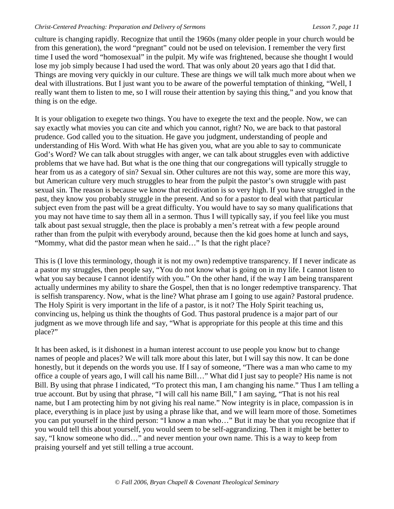culture is changing rapidly. Recognize that until the 1960s (many older people in your church would be from this generation), the word "pregnant" could not be used on television. I remember the very first time I used the word "homosexual" in the pulpit. My wife was frightened, because she thought I would lose my job simply because I had used the word. That was only about 20 years ago that I did that. Things are moving very quickly in our culture. These are things we will talk much more about when we deal with illustrations. But I just want you to be aware of the powerful temptation of thinking, "Well, I really want them to listen to me, so I will rouse their attention by saying this thing," and you know that thing is on the edge.

It is your obligation to exegete two things. You have to exegete the text and the people. Now, we can say exactly what movies you can cite and which you cannot, right? No, we are back to that pastoral prudence. God called you to the situation. He gave you judgment, understanding of people and understanding of His Word. With what He has given you, what are you able to say to communicate God's Word? We can talk about struggles with anger, we can talk about struggles even with addictive problems that we have had. But what is the one thing that our congregations will typically struggle to hear from us as a category of sin? Sexual sin. Other cultures are not this way, some are more this way, but American culture very much struggles to hear from the pulpit the pastor's own struggle with past sexual sin. The reason is because we know that recidivation is so very high. If you have struggled in the past, they know you probably struggle in the present. And so for a pastor to deal with that particular subject even from the past will be a great difficulty. You would have to say so many qualifications that you may not have time to say them all in a sermon. Thus I will typically say, if you feel like you must talk about past sexual struggle, then the place is probably a men's retreat with a few people around rather than from the pulpit with everybody around, because then the kid goes home at lunch and says, "Mommy, what did the pastor mean when he said…" Is that the right place?

This is (I love this terminology, though it is not my own) redemptive transparency. If I never indicate as a pastor my struggles, then people say, "You do not know what is going on in my life. I cannot listen to what you say because I cannot identify with you." On the other hand, if the way I am being transparent actually undermines my ability to share the Gospel, then that is no longer redemptive transparency. That is selfish transparency. Now, what is the line? What phrase am I going to use again? Pastoral prudence. The Holy Spirit is very important in the life of a pastor, is it not? The Holy Spirit teaching us, convincing us, helping us think the thoughts of God. Thus pastoral prudence is a major part of our judgment as we move through life and say, "What is appropriate for this people at this time and this place?"

It has been asked, is it dishonest in a human interest account to use people you know but to change names of people and places? We will talk more about this later, but I will say this now. It can be done honestly, but it depends on the words you use. If I say of someone, "There was a man who came to my office a couple of years ago, I will call his name Bill…" What did I just say to people? His name is not Bill. By using that phrase I indicated, "To protect this man, I am changing his name." Thus I am telling a true account. But by using that phrase, "I will call his name Bill," I am saying, "That is not his real name, but I am protecting him by not giving his real name." Now integrity is in place, compassion is in place, everything is in place just by using a phrase like that, and we will learn more of those. Sometimes you can put yourself in the third person: "I know a man who..." But it may be that you recognize that if you would tell this about yourself, you would seem to be self-aggrandizing. Then it might be better to say, "I know someone who did…" and never mention your own name. This is a way to keep from praising yourself and yet still telling a true account.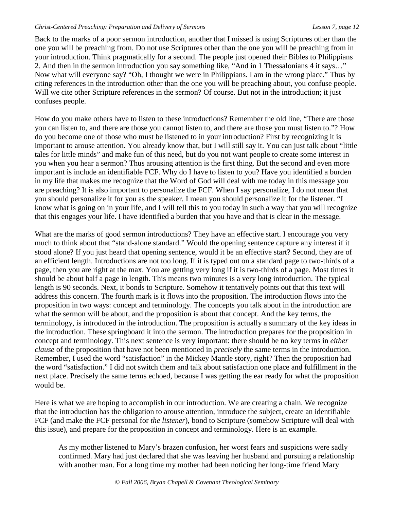Back to the marks of a poor sermon introduction, another that I missed is using Scriptures other than the one you will be preaching from. Do not use Scriptures other than the one you will be preaching from in your introduction. Think pragmatically for a second. The people just opened their Bibles to Philippians 2. And then in the sermon introduction you say something like, "And in 1 Thessalonians 4 it says…" Now what will everyone say? "Oh, I thought we were in Philippians. I am in the wrong place." Thus by citing references in the introduction other than the one you will be preaching about, you confuse people. Will we cite other Scripture references in the sermon? Of course. But not in the introduction; it just confuses people.

How do you make others have to listen to these introductions? Remember the old line, "There are those you can listen to, and there are those you cannot listen to, and there are those you must listen to."? How do you become one of those who must be listened to in your introduction? First by recognizing it is important to arouse attention. You already know that, but I will still say it. You can just talk about "little tales for little minds" and make fun of this need, but do you not want people to create some interest in you when you hear a sermon? Thus arousing attention is the first thing. But the second and even more important is include an identifiable FCF. Why do I have to listen to you? Have you identified a burden in my life that makes me recognize that the Word of God will deal with me today in this message you are preaching? It is also important to personalize the FCF. When I say personalize, I do not mean that you should personalize it for you as the speaker. I mean you should personalize it for the listener. "I know what is going on in your life, and I will tell this to you today in such a way that you will recognize that this engages your life. I have identified a burden that you have and that is clear in the message.

What are the marks of good sermon introductions? They have an effective start. I encourage you very much to think about that "stand-alone standard." Would the opening sentence capture any interest if it stood alone? If you just heard that opening sentence, would it be an effective start? Second, they are of an efficient length. Introductions are not too long. If it is typed out on a standard page to two-thirds of a page, then you are right at the max. You are getting very long if it is two-thirds of a page. Most times it should be about half a page in length. This means two minutes is a very long introduction. The typical length is 90 seconds. Next, it bonds to Scripture. Somehow it tentatively points out that this text will address this concern. The fourth mark is it flows into the proposition. The introduction flows into the proposition in two ways: concept and terminology. The concepts you talk about in the introduction are what the sermon will be about, and the proposition is about that concept. And the key terms, the terminology, is introduced in the introduction. The proposition is actually a summary of the key ideas in the introduction. These springboard it into the sermon. The introduction prepares for the proposition in concept and terminology. This next sentence is very important: there should be no key terms in *either clause* of the proposition that have not been mentioned in *precisely* the same terms in the introduction. Remember, I used the word "satisfaction" in the Mickey Mantle story, right? Then the proposition had the word "satisfaction." I did not switch them and talk about satisfaction one place and fulfillment in the next place. Precisely the same terms echoed, because I was getting the ear ready for what the proposition would be.

Here is what we are hoping to accomplish in our introduction. We are creating a chain. We recognize that the introduction has the obligation to arouse attention, introduce the subject, create an identifiable FCF (and make the FCF personal for *the listener*), bond to Scripture (somehow Scripture will deal with this issue), and prepare for the proposition in concept and terminology. Here is an example.

As my mother listened to Mary's brazen confusion, her worst fears and suspicions were sadly confirmed. Mary had just declared that she was leaving her husband and pursuing a relationship with another man. For a long time my mother had been noticing her long-time friend Mary